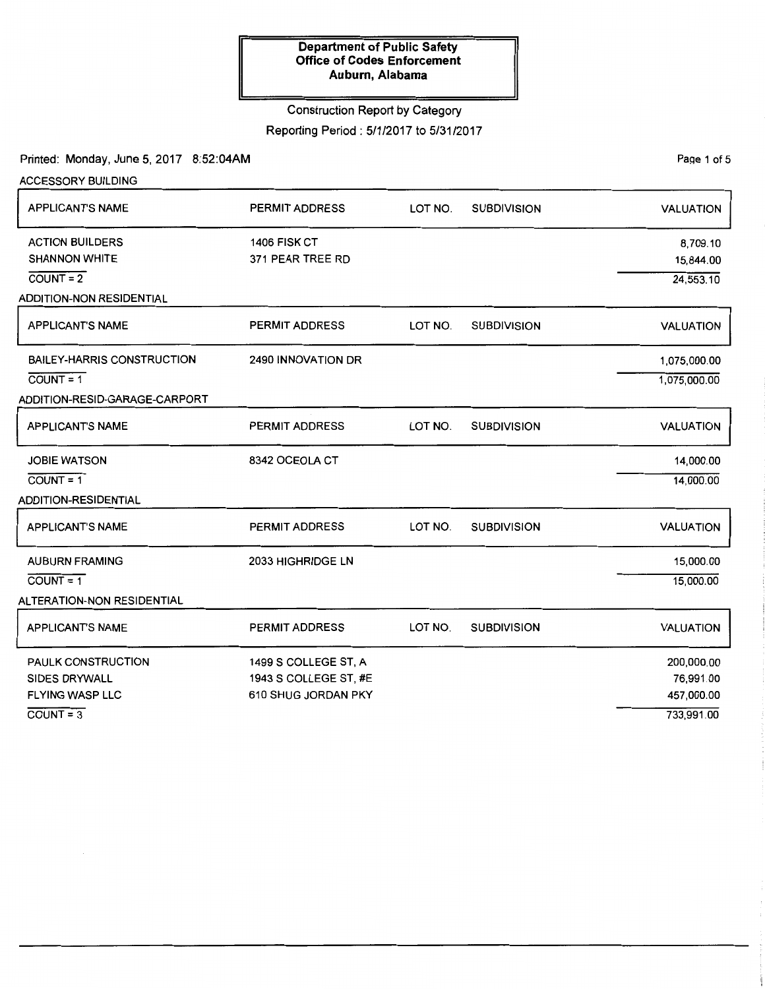## Construction Report by Category

Reporting Period: 5/1/2017 to 5/31/2017

Printed: Monday, June 5, 2017 8:52:04AM

ACCESSORY BUILDING

Page 1 of 5

| <b>APPLICANT'S NAME</b>                                                                                     | <b>PERMIT ADDRESS</b>                                                | LOT NO. | <b>SUBDIVISION</b> | <b>VALUATION</b>                                    |
|-------------------------------------------------------------------------------------------------------------|----------------------------------------------------------------------|---------|--------------------|-----------------------------------------------------|
| <b>ACTION BUILDERS</b><br><b>SHANNON WHITE</b><br>$\overline{COUNT} = 2$<br><b>ADDITION-NON RESIDENTIAL</b> | 1406 FISK CT<br>371 PEAR TREE RD                                     |         |                    | 8,709.10<br>15,844.00<br>24,553.10                  |
| <b>APPLICANT'S NAME</b>                                                                                     | <b>PERMIT ADDRESS</b>                                                | LOT NO. | <b>SUBDIVISION</b> | <b>VALUATION</b>                                    |
| BAILEY-HARRIS CONSTRUCTION<br>$COUNT = 1$<br>ADDITION-RESID-GARAGE-CARPORT                                  | 2490 INNOVATION DR                                                   |         |                    | 1,075,000.00<br>1,075,000.00                        |
| <b>APPLICANT'S NAME</b>                                                                                     | <b>PERMIT ADDRESS</b>                                                | LOT NO. | <b>SUBDIVISION</b> | <b>VALUATION</b>                                    |
| JOBIE WATSON<br>$\overline{COUNT} = 1$<br><b>ADDITION-RESIDENTIAL</b>                                       | 8342 OCEOLA CT                                                       |         |                    | 14,000.00<br>14,000.00                              |
| APPLICANT'S NAME                                                                                            | <b>PERMIT ADDRESS</b>                                                | LOT NO. | <b>SUBDIVISION</b> | <b>VALUATION</b>                                    |
| <b>AUBURN FRAMING</b><br>$COUNT = 1$<br><b>ALTERATION-NON RESIDENTIAL</b>                                   | 2033 HIGHRIDGE LN                                                    |         |                    | 15,000.00<br>15,000.00                              |
| <b>APPLICANT'S NAME</b>                                                                                     | <b>PERMIT ADDRESS</b>                                                | LOT NO. | <b>SUBDIVISION</b> | <b>VALUATION</b>                                    |
| <b>PAULK CONSTRUCTION</b><br><b>SIDES DRYWALL</b><br><b>FLYING WASP LLC</b><br>$\overline{COUNT} = 3$       | 1499 S COLLEGE ST, A<br>1943 S COLLEGE ST, #E<br>610 SHUG JORDAN PKY |         |                    | 200,000.00<br>76,991.00<br>457,000.00<br>733,991.00 |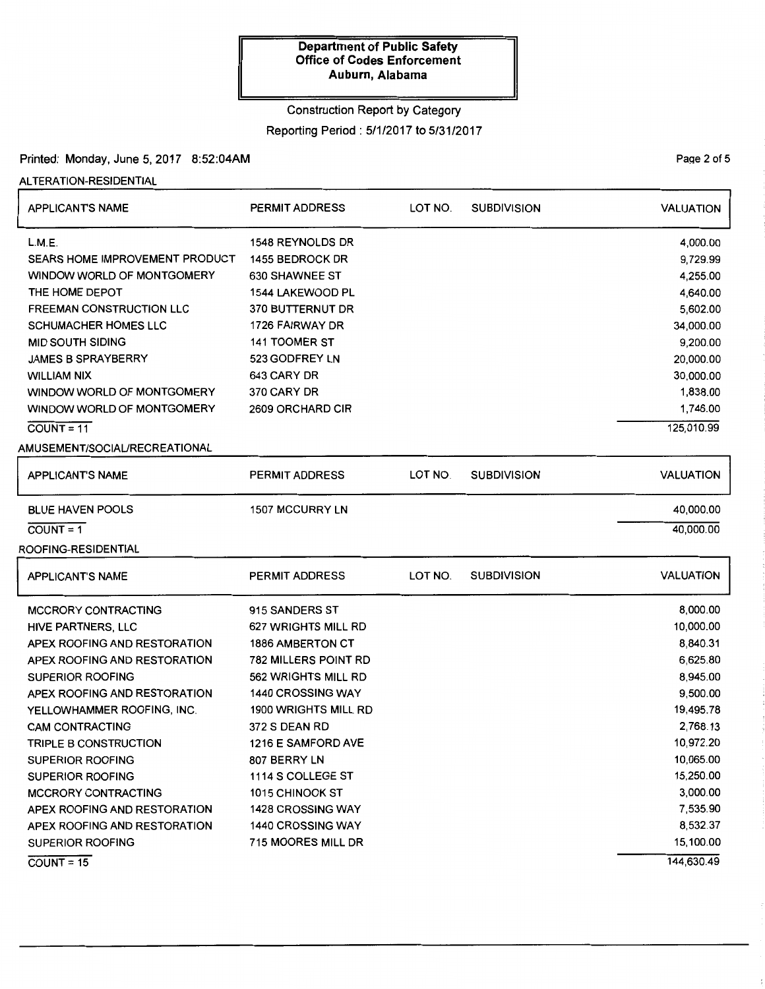### Construction Report by Category

Reporting Period : 5/1/2017 to 5/31/2017

Printed: Monday, June 5, 2017 8:52:04AM

ALTERATION-RESIDENTIAL

| <b>APPLICANTS NAME</b>          | <b>PERMIT ADDRESS</b>       | LOT NO. | <b>SUBDIVISION</b> | <b>VALUATION</b> |
|---------------------------------|-----------------------------|---------|--------------------|------------------|
| L.M.E.                          | 1548 REYNOLDS DR            |         |                    | 4,000.00         |
| SEARS HOME IMPROVEMENT PRODUCT  | 1455 BEDROCK DR             |         |                    | 9,729.99         |
| WINDOW WORLD OF MONTGOMERY      | <b>630 SHAWNEE ST</b>       |         |                    | 4,255.00         |
| THE HOME DEPOT                  | 1544 LAKEWOOD PL            |         |                    | 4,640.00         |
| <b>FREEMAN CONSTRUCTION LLC</b> | 370 BUTTERNUT DR            |         |                    | 5,602.00         |
| <b>SCHUMACHER HOMES LLC</b>     | 1726 FAIRWAY DR             |         |                    | 34,000.00        |
| <b>MID SOUTH SIDING</b>         | <b>141 TOOMER ST</b>        |         |                    | 9,200.00         |
| <b>JAMES B SPRAYBERRY</b>       | 523 GODFREY LN              |         |                    | 20,000.00        |
| <b>WILLIAM NIX</b>              | 643 CARY DR                 |         |                    | 30,000.00        |
| WINDOW WORLD OF MONTGOMERY      | 370 CARY DR                 |         |                    | 1,838.00         |
| WINDOW WORLD OF MONTGOMERY      | 2609 ORCHARD CIR            |         |                    | 1,746.00         |
| $COUNT = 11$                    |                             |         |                    | 125,010.99       |
| AMUSEMENT/SOCIAL/RECREATIONAL   |                             |         |                    |                  |
|                                 |                             |         |                    |                  |
| <b>APPLICANT'S NAME</b>         | PERMIT ADDRESS              | LOT NO. | <b>SUBDIVISION</b> | <b>VALUATION</b> |
| <b>BLUE HAVEN POOLS</b>         | <b>1507 MCCURRY LN</b>      |         |                    | 40,000.00        |
| $COUNT = 1$                     |                             |         |                    | 40,000.00        |
| ROOFING-RESIDENTIAL             |                             |         |                    |                  |
|                                 |                             |         |                    |                  |
| <b>APPLICANT'S NAME</b>         | <b>PERMIT ADDRESS</b>       | LOT NO. | <b>SUBDIVISION</b> | VALUATION        |
| <b>MCCRORY CONTRACTING</b>      | 915 SANDERS ST              |         |                    | 8,000.00         |
| HIVE PARTNERS, LLC              | <b>627 WRIGHTS MILL RD</b>  |         |                    | 10,000.00        |
| APEX ROOFING AND RESTORATION    | <b>1886 AMBERTON CT</b>     |         |                    | 8,840.31         |
| APEX ROOFING AND RESTORATION    | <b>782 MILLERS POINT RD</b> |         |                    | 6,625.80         |
| <b>SUPERIOR ROOFING</b>         | 562 WRIGHTS MILL RD         |         |                    | 8,945.00         |
| APEX ROOFING AND RESTORATION    | <b>1440 CROSSING WAY</b>    |         |                    | 9,500.00         |
| YELLOWHAMMER ROOFING, INC.      | 1900 WRIGHTS MILL RD        |         |                    | 19,495.78        |
| <b>CAM CONTRACTING</b>          | 372 S DEAN RD               |         |                    | 2,768.13         |
| TRIPLE B CONSTRUCTION           | 1216 E SAMFORD AVE          |         |                    | 10,972.20        |
| <b>SUPERIOR ROOFING</b>         | 807 BERRY LN                |         |                    | 10,065.00        |
| <b>SUPERIOR ROOFING</b>         | 1114 S COLLEGE ST           |         |                    | 15,250.00        |
| <b>MCCRORY CONTRACTING</b>      | 1015 CHINOOK ST             |         |                    | 3,000.00         |
| APEX ROOFING AND RESTORATION    | <b>1428 CROSSING WAY</b>    |         |                    | 7,535.90         |
| APEX ROOFING AND RESTORATION    | 1440 CROSSING WAY           |         |                    | 8,532.37         |
| <b>SUPERIOR ROOFING</b>         | 715 MOORES MILL DR          |         |                    | 15,100.00        |
| $COUNT = 15$                    |                             |         |                    | 144,630.49       |

Page 2 of 5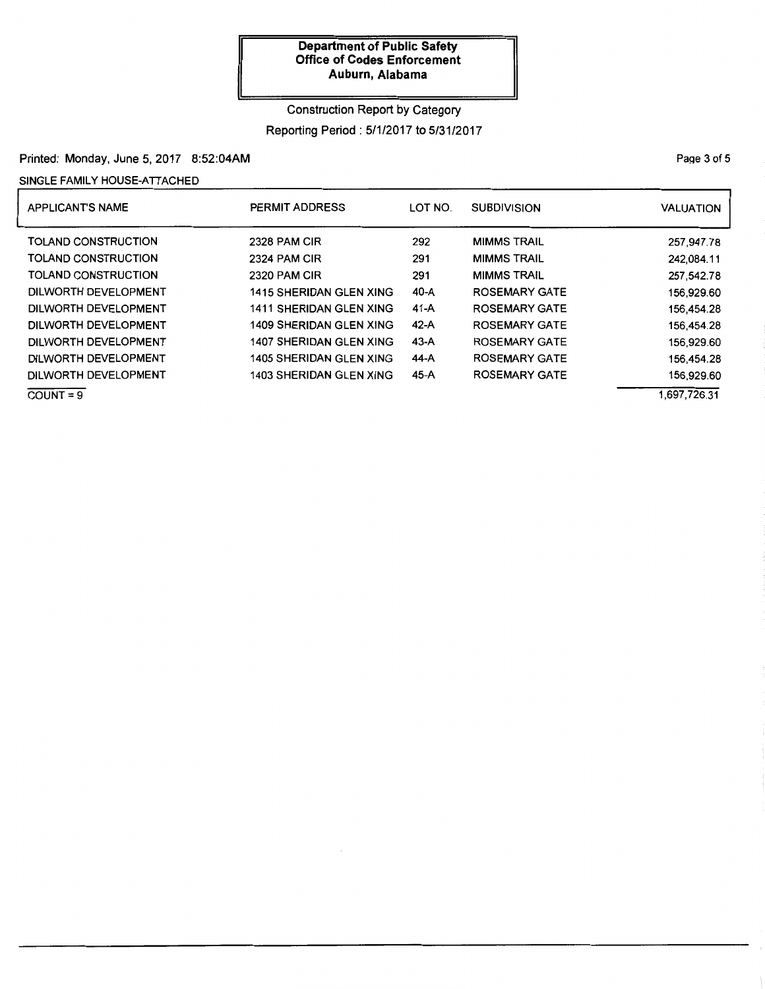# Construction Report by Category Reporting Period : 5/1/2017 to 5/31/2017

### Printed: Monday, June 5, 2017 8:52:04AM

### SINGLE FAMILY HOUSE-ATTACHED

| <b>APPLICANT'S NAME</b>    | PERMIT ADDRESS                 | LOT NO. | <b>SUBDIVISION</b>   | <b>VALUATION</b> |
|----------------------------|--------------------------------|---------|----------------------|------------------|
| <b>TOLAND CONSTRUCTION</b> | <b>2328 PAM CIR</b>            | 292     | <b>MIMMS TRAIL</b>   | 257,947.78       |
| TOLAND CONSTRUCTION        | 2324 PAM CIR                   | 291     | <b>MIMMS TRAIL</b>   | 242.084.11       |
| TOLAND CONSTRUCTION        | 2320 PAM CIR                   | 291     | <b>MIMMS TRAIL</b>   | 257,542.78       |
| DILWORTH DEVELOPMENT       | <b>1415 SHERIDAN GLEN XING</b> | 40-A    | <b>ROSEMARY GATE</b> | 156.929.60       |
| DILWORTH DEVELOPMENT       | <b>1411 SHERIDAN GLEN XING</b> | $41-A$  | <b>ROSEMARY GATE</b> | 156.454.28       |
| DILWORTH DEVELOPMENT       | <b>1409 SHERIDAN GLEN XING</b> | 42-A    | <b>ROSEMARY GATE</b> | 156.454.28       |
| DILWORTH DEVELOPMENT       | <b>1407 SHERIDAN GLEN XING</b> | 43-A    | <b>ROSEMARY GATE</b> | 156.929.60       |
| DILWORTH DEVELOPMENT       | 1405 SHERIDAN GLEN XING        | 44-A    | <b>ROSEMARY GATE</b> | 156.454.28       |
| DILWORTH DEVELOPMENT       | 1403 SHERIDAN GLEN XING        | 45-A    | <b>ROSEMARY GATE</b> | 156,929.60       |
| $COUNT = 9$                |                                |         |                      | 1,697,726.31     |

PaQe 3 of 5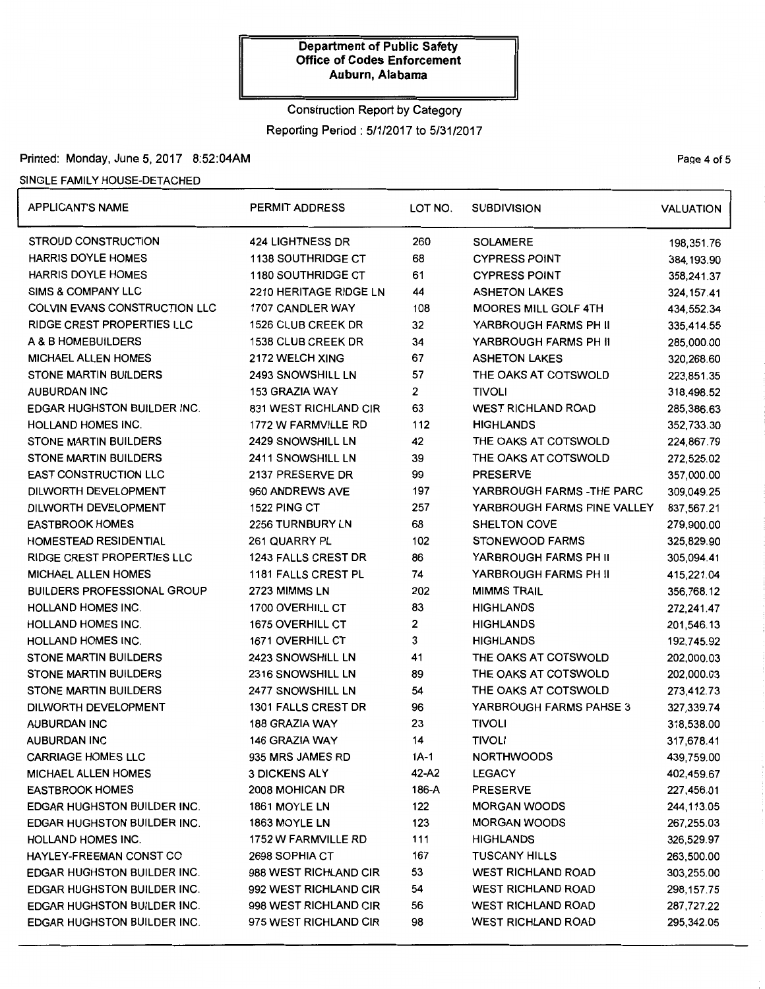# Construction Report by Category Reporting Period: 5/1/2017 to 5/31/2017

### Printed: Monday, June 5, 2017 8:52:04AM Page 4 of 5

### SINGLE FAMILY HOUSE-DETACHED

| <b>APPLICANT'S NAME</b>            | PERMIT ADDRESS             | LOT NO. | <b>SUBDIVISION</b>          | <b>VALUATION</b> |
|------------------------------------|----------------------------|---------|-----------------------------|------------------|
| STROUD CONSTRUCTION                | <b>424 LIGHTNESS DR</b>    | 260     | <b>SOLAMERE</b>             | 198,351.76       |
| <b>HARRIS DOYLE HOMES</b>          | 1138 SOUTHRIDGE CT         | 68      | <b>CYPRESS POINT</b>        | 384, 193.90      |
| <b>HARRIS DOYLE HOMES</b>          | <b>1180 SOUTHRIDGE CT</b>  | 61      | <b>CYPRESS POINT</b>        | 358,241.37       |
| <b>SIMS &amp; COMPANY LLC</b>      | 2210 HERITAGE RIDGE LN     | 44      | <b>ASHETON LAKES</b>        | 324, 157.41      |
| COLVIN EVANS CONSTRUCTION LLC      | 1707 CANDLER WAY           | 108     | <b>MOORES MILL GOLF 4TH</b> | 434,552.34       |
| <b>RIDGE CREST PROPERTIES LLC</b>  | <b>1526 CLUB CREEK DR</b>  | 32      | YARBROUGH FARMS PH II       | 335,414.55       |
| A & B HOMEBUILDERS                 | <b>1538 CLUB CREEK DR</b>  | 34      | YARBROUGH FARMS PH II       | 285,000.00       |
| <b>MICHAEL ALLEN HOMES</b>         | 2172 WELCH XING            | 67      | <b>ASHETON LAKES</b>        | 320,268.60       |
| STONE MARTIN BUILDERS              | 2493 SNOWSHILL LN          | 57      | THE OAKS AT COTSWOLD        | 223,851.35       |
| <b>AUBURDAN INC</b>                | 153 GRAZIA WAY             | 2       | <b>TIVOLI</b>               | 318,498.52       |
| <b>EDGAR HUGHSTON BUILDER INC.</b> | 831 WEST RICHLAND CIR      | 63      | <b>WEST RICHLAND ROAD</b>   | 285,386.63       |
| HOLLAND HOMES INC.                 | 1772 W FARMVILLE RD        | 112     | <b>HIGHLANDS</b>            | 352,733.30       |
| <b>STONE MARTIN BUILDERS</b>       | <b>2429 SNOWSHILL LN</b>   | 42      | THE OAKS AT COTSWOLD        | 224,867.79       |
| <b>STONE MARTIN BUILDERS</b>       | 2411 SNOWSHILL LN          | 39      | THE OAKS AT COTSWOLD        | 272,525.02       |
| <b>EAST CONSTRUCTION LLC</b>       | 2137 PRESERVE DR           | 99      | <b>PRESERVE</b>             | 357,000.00       |
| DILWORTH DEVELOPMENT               | 960 ANDREWS AVE            | 197     | YARBROUGH FARMS - THE PARC  | 309,049.25       |
| DILWORTH DEVELOPMENT               | 1522 PING CT               | 257     | YARBROUGH FARMS PINE VALLEY | 837,567.21       |
| <b>EASTBROOK HOMES</b>             | 2256 TURNBURY LN           | 68      | <b>SHELTON COVE</b>         | 279,900.00       |
| HOMESTEAD RESIDENTIAL              | 261 QUARRY PL              | 102     | <b>STONEWOOD FARMS</b>      | 325,829.90       |
| RIDGE CREST PROPERTIES LLC         | <b>1243 FALLS CREST DR</b> | 86      | YARBROUGH FARMS PH II       | 305,094.41       |
| <b>MICHAEL ALLEN HOMES</b>         | 1181 FALLS CREST PL        | 74      | YARBROUGH FARMS PH II       | 415,221.04       |
| <b>BUILDERS PROFESSIONAL GROUP</b> | 2723 MIMMS LN              | 202     | <b>MIMMS TRAIL</b>          | 356,768.12       |
| <b>HOLLAND HOMES INC.</b>          | 1700 OVERHILL CT           | 83      | <b>HIGHLANDS</b>            | 272,241.47       |
| <b>HOLLAND HOMES INC.</b>          | 1675 OVERHILL CT           | 2       | <b>HIGHLANDS</b>            | 201,546.13       |
| <b>HOLLAND HOMES INC.</b>          | 1671 OVERHILL CT           | 3       | <b>HIGHLANDS</b>            | 192,745.92       |
| STONE MARTIN BUILDERS              | 2423 SNOWSHILL LN          | 41      | THE OAKS AT COTSWOLD        | 202,000.03       |
| <b>STONE MARTIN BUILDERS</b>       | 2316 SNOWSHILL LN          | 89      | THE OAKS AT COTSWOLD        | 202,000.03       |
| STONE MARTIN BUILDERS              | 2477 SNOWSHILL LN          | 54      | THE OAKS AT COTSWOLD        | 273,412.73       |
| DILWORTH DEVELOPMENT               | 1301 FALLS CREST DR        | 96      | YARBROUGH FARMS PAHSE 3     | 327,339.74       |
| <b>AUBURDAN INC</b>                | 188 GRAZIA WAY             | 23      | <b>TIVOLI</b>               | 318,538.00       |
| AUBURDAN INC                       | 146 GRAZIA WAY             | 14      | <b>TIVOLI</b>               | 317,678.41       |
| <b>CARRIAGE HOMES LLC</b>          | 935 MRS JAMES RD           | $1A-1$  | <b>NORTHWOODS</b>           | 439,759.00       |
| <b>MICHAEL ALLEN HOMES</b>         | <b>3 DICKENS ALY</b>       | 42-A2   | <b>LEGACY</b>               | 402,459.67       |
| <b>EASTBROOK HOMES</b>             | 2008 MOHICAN DR            | 186-A   | <b>PRESERVE</b>             | 227,456.01       |
| EDGAR HUGHSTON BUILDER INC.        | 1861 MOYLE LN              | 122     | <b>MORGAN WOODS</b>         | 244,113.05       |
| <b>EDGAR HUGHSTON BUILDER INC.</b> | 1863 MOYLE LN              | 123     | <b>MORGAN WOODS</b>         | 267,255.03       |
| <b>HOLLAND HOMES INC.</b>          | 1752 W FARMVILLE RD        | 111     | <b>HIGHLANDS</b>            | 326,529.97       |
| HAYLEY-FREEMAN CONST CO            | 2698 SOPHIA CT             | 167     | <b>TUSCANY HILLS</b>        | 263,500.00       |
| <b>EDGAR HUGHSTON BUILDER INC.</b> | 988 WEST RICHLAND CIR      | 53      | <b>WEST RICHLAND ROAD</b>   | 303,255.00       |
| <b>EDGAR HUGHSTON BUILDER INC.</b> | 992 WEST RICHLAND CIR      | 54      | <b>WEST RICHLAND ROAD</b>   | 298, 157.75      |
| <b>EDGAR HUGHSTON BUILDER INC.</b> | 998 WEST RICHLAND CIR      | 56      | <b>WEST RICHLAND ROAD</b>   | 287,727.22       |
| <b>EDGAR HUGHSTON BUILDER INC.</b> | 975 WEST RICHLAND CIR      | 98      | <b>WEST RICHLAND ROAD</b>   | 295,342.05       |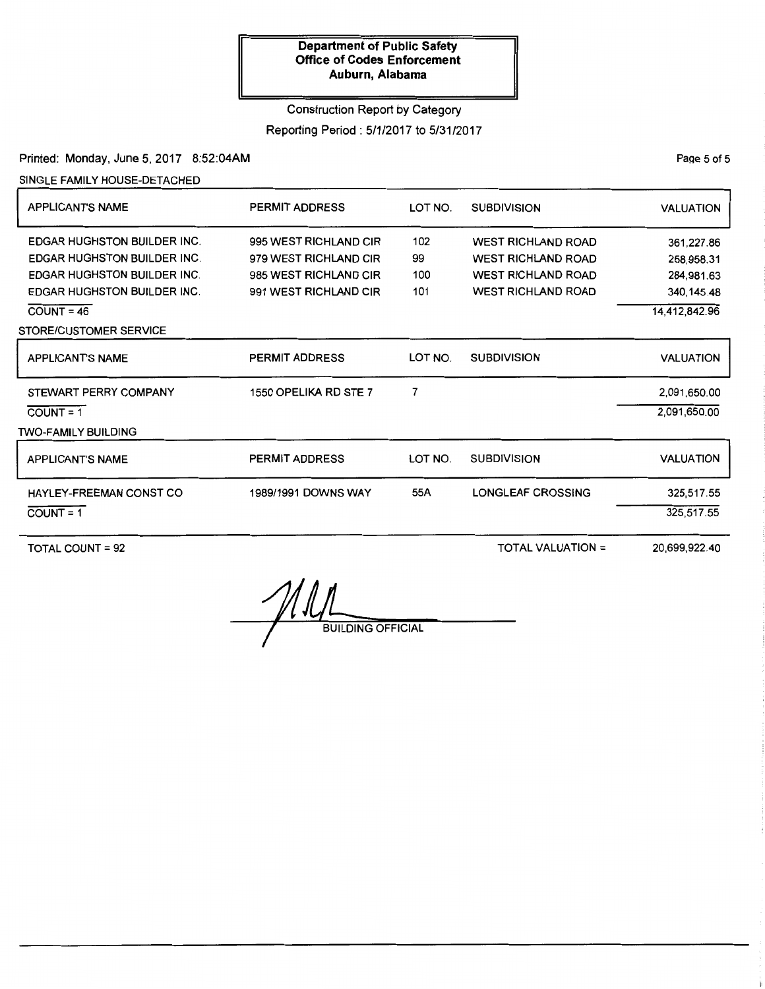# Construction Report by Category

Reporting Period: 5/1/2017 to 5/31/2017

Printed: Monday, June 5, 2017 8:52:04AM

SINGLE FAMILY HOUSE-DETACHED

| <b>APPLICANT'S NAME</b>            | <b>PERMIT ADDRESS</b> | LOT NO.<br><b>SUBDIVISION</b> |                           | <b>VALUATION</b> |
|------------------------------------|-----------------------|-------------------------------|---------------------------|------------------|
| <b>EDGAR HUGHSTON BUILDER INC.</b> | 995 WEST RICHLAND CIR | 102                           | <b>WEST RICHLAND ROAD</b> | 361,227.86       |
| <b>EDGAR HUGHSTON BUILDER INC.</b> | 979 WEST RICHLAND CIR | 99                            | <b>WEST RICHLAND ROAD</b> | 258,958.31       |
| <b>EDGAR HUGHSTON BUILDER INC.</b> | 985 WEST RICHLAND CIR | 100                           | <b>WEST RICHLAND ROAD</b> | 284,981.63       |
| <b>EDGAR HUGHSTON BUILDER INC.</b> | 991 WEST RICHLAND CIR | 101                           | <b>WEST RICHLAND ROAD</b> | 340,145.48       |
| $COUNT = 46$                       |                       |                               |                           | 14,412,842.96    |
| STORE/CUSTOMER SERVICE             |                       |                               |                           |                  |
| <b>APPLICANT'S NAME</b>            | <b>PERMIT ADDRESS</b> | LOT NO.                       | <b>SUBDIVISION</b>        | <b>VALUATION</b> |
| STEWART PERRY COMPANY              | 1550 OPELIKA RD STE 7 | 7                             |                           | 2,091,650.00     |
| $COUNT = 1$                        |                       |                               |                           | 2.091.650.00     |
| <b>TWO-FAMILY BUILDING</b>         |                       |                               |                           |                  |
| <b>APPLICANT'S NAME</b>            | <b>PERMIT ADDRESS</b> | LOT NO.                       | <b>SUBDIVISION</b>        | <b>VALUATION</b> |
| HAYLEY-FREEMAN CONST CO            | 1989/1991 DOWNS WAY   | 55A                           | <b>LONGLEAF CROSSING</b>  | 325,517.55       |
| $COUNT = 1$                        |                       |                               |                           | 325,517.55       |
|                                    |                       |                               |                           |                  |

TOTAL COUNT = 92

TOTAL VALUATION=

20,699,922.40

BUILDING OFFICIAL

PaQe 5 of 5